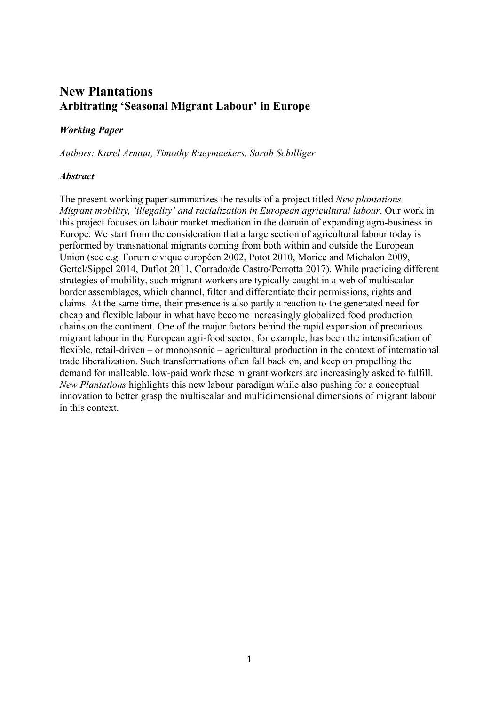# **New Plantations Arbitrating 'Seasonal Migrant Labour' in Europe**

## *Working Paper*

*Authors: Karel Arnaut, Timothy Raeymaekers, Sarah Schilliger*

### *Abstract*

The present working paper summarizes the results of a project titled *New plantations Migrant mobility, 'illegality' and racialization in European agricultural labour*. Our work in this project focuses on labour market mediation in the domain of expanding agro-business in Europe. We start from the consideration that a large section of agricultural labour today is performed by transnational migrants coming from both within and outside the European Union (see e.g. Forum civique européen 2002, Potot 2010, Morice and Michalon 2009, Gertel/Sippel 2014, Duflot 2011, Corrado/de Castro/Perrotta 2017). While practicing different strategies of mobility, such migrant workers are typically caught in a web of multiscalar border assemblages, which channel, filter and differentiate their permissions, rights and claims. At the same time, their presence is also partly a reaction to the generated need for cheap and flexible labour in what have become increasingly globalized food production chains on the continent. One of the major factors behind the rapid expansion of precarious migrant labour in the European agri-food sector, for example, has been the intensification of flexible, retail-driven – or monopsonic – agricultural production in the context of international trade liberalization. Such transformations often fall back on, and keep on propelling the demand for malleable, low-paid work these migrant workers are increasingly asked to fulfill. *New Plantations* highlights this new labour paradigm while also pushing for a conceptual innovation to better grasp the multiscalar and multidimensional dimensions of migrant labour in this context.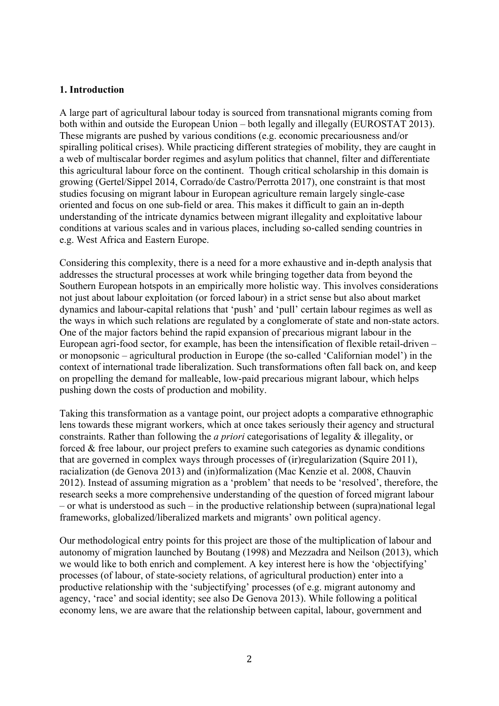## **1. Introduction**

A large part of agricultural labour today is sourced from transnational migrants coming from both within and outside the European Union – both legally and illegally (EUROSTAT 2013). These migrants are pushed by various conditions (e.g. economic precariousness and/or spiralling political crises). While practicing different strategies of mobility, they are caught in a web of multiscalar border regimes and asylum politics that channel, filter and differentiate this agricultural labour force on the continent. Though critical scholarship in this domain is growing (Gertel/Sippel 2014, Corrado/de Castro/Perrotta 2017), one constraint is that most studies focusing on migrant labour in European agriculture remain largely single-case oriented and focus on one sub-field or area. This makes it difficult to gain an in-depth understanding of the intricate dynamics between migrant illegality and exploitative labour conditions at various scales and in various places, including so-called sending countries in e.g. West Africa and Eastern Europe.

Considering this complexity, there is a need for a more exhaustive and in-depth analysis that addresses the structural processes at work while bringing together data from beyond the Southern European hotspots in an empirically more holistic way. This involves considerations not just about labour exploitation (or forced labour) in a strict sense but also about market dynamics and labour-capital relations that 'push' and 'pull' certain labour regimes as well as the ways in which such relations are regulated by a conglomerate of state and non-state actors. One of the major factors behind the rapid expansion of precarious migrant labour in the European agri-food sector, for example, has been the intensification of flexible retail-driven – or monopsonic – agricultural production in Europe (the so-called 'Californian model') in the context of international trade liberalization. Such transformations often fall back on, and keep on propelling the demand for malleable, low-paid precarious migrant labour, which helps pushing down the costs of production and mobility.

Taking this transformation as a vantage point, our project adopts a comparative ethnographic lens towards these migrant workers, which at once takes seriously their agency and structural constraints. Rather than following the *a priori* categorisations of legality & illegality, or forced & free labour, our project prefers to examine such categories as dynamic conditions that are governed in complex ways through processes of (ir)regularization (Squire 2011), racialization (de Genova 2013) and (in)formalization (Mac Kenzie et al. 2008, Chauvin 2012). Instead of assuming migration as a 'problem' that needs to be 'resolved', therefore, the research seeks a more comprehensive understanding of the question of forced migrant labour – or what is understood as such – in the productive relationship between (supra)national legal frameworks, globalized/liberalized markets and migrants' own political agency.

Our methodological entry points for this project are those of the multiplication of labour and autonomy of migration launched by Boutang (1998) and Mezzadra and Neilson (2013), which we would like to both enrich and complement. A key interest here is how the 'objectifying' processes (of labour, of state-society relations, of agricultural production) enter into a productive relationship with the 'subjectifying' processes (of e.g. migrant autonomy and agency, 'race' and social identity; see also De Genova 2013). While following a political economy lens, we are aware that the relationship between capital, labour, government and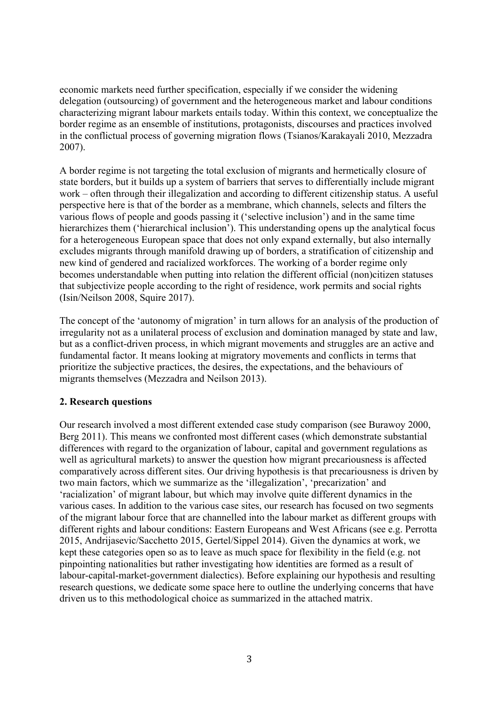economic markets need further specification, especially if we consider the widening delegation (outsourcing) of government and the heterogeneous market and labour conditions characterizing migrant labour markets entails today. Within this context, we conceptualize the border regime as an ensemble of institutions, protagonists, discourses and practices involved in the conflictual process of governing migration flows (Tsianos/Karakayali 2010, Mezzadra 2007).

A border regime is not targeting the total exclusion of migrants and hermetically closure of state borders, but it builds up a system of barriers that serves to differentially include migrant work – often through their illegalization and according to different citizenship status. A useful perspective here is that of the border as a membrane, which channels, selects and filters the various flows of people and goods passing it ('selective inclusion') and in the same time hierarchizes them ('hierarchical inclusion'). This understanding opens up the analytical focus for a heterogeneous European space that does not only expand externally, but also internally excludes migrants through manifold drawing up of borders, a stratification of citizenship and new kind of gendered and racialized workforces. The working of a border regime only becomes understandable when putting into relation the different official (non)citizen statuses that subjectivize people according to the right of residence, work permits and social rights (Isin/Neilson 2008, Squire 2017).

The concept of the 'autonomy of migration' in turn allows for an analysis of the production of irregularity not as a unilateral process of exclusion and domination managed by state and law, but as a conflict-driven process, in which migrant movements and struggles are an active and fundamental factor. It means looking at migratory movements and conflicts in terms that prioritize the subjective practices, the desires, the expectations, and the behaviours of migrants themselves (Mezzadra and Neilson 2013).

# **2. Research questions**

Our research involved a most different extended case study comparison (see Burawoy 2000, Berg 2011). This means we confronted most different cases (which demonstrate substantial differences with regard to the organization of labour, capital and government regulations as well as agricultural markets) to answer the question how migrant precariousness is affected comparatively across different sites. Our driving hypothesis is that precariousness is driven by two main factors, which we summarize as the 'illegalization', 'precarization' and 'racialization' of migrant labour, but which may involve quite different dynamics in the various cases. In addition to the various case sites, our research has focused on two segments of the migrant labour force that are channelled into the labour market as different groups with different rights and labour conditions: Eastern Europeans and West Africans (see e.g. Perrotta 2015, Andrijasevic/Sacchetto 2015, Gertel/Sippel 2014). Given the dynamics at work, we kept these categories open so as to leave as much space for flexibility in the field (e.g. not pinpointing nationalities but rather investigating how identities are formed as a result of labour-capital-market-government dialectics). Before explaining our hypothesis and resulting research questions, we dedicate some space here to outline the underlying concerns that have driven us to this methodological choice as summarized in the attached matrix.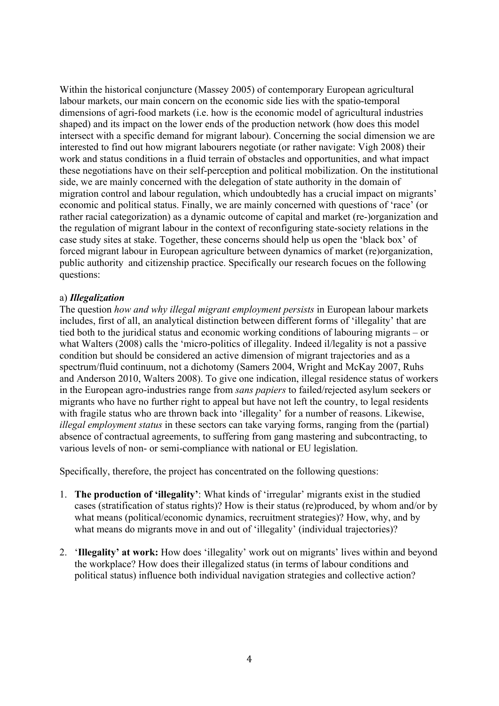Within the historical conjuncture (Massey 2005) of contemporary European agricultural labour markets, our main concern on the economic side lies with the spatio-temporal dimensions of agri-food markets (i.e. how is the economic model of agricultural industries shaped) and its impact on the lower ends of the production network (how does this model intersect with a specific demand for migrant labour). Concerning the social dimension we are interested to find out how migrant labourers negotiate (or rather navigate: Vigh 2008) their work and status conditions in a fluid terrain of obstacles and opportunities, and what impact these negotiations have on their self-perception and political mobilization. On the institutional side, we are mainly concerned with the delegation of state authority in the domain of migration control and labour regulation, which undoubtedly has a crucial impact on migrants' economic and political status. Finally, we are mainly concerned with questions of 'race' (or rather racial categorization) as a dynamic outcome of capital and market (re-)organization and the regulation of migrant labour in the context of reconfiguring state-society relations in the case study sites at stake. Together, these concerns should help us open the 'black box' of forced migrant labour in European agriculture between dynamics of market (re)organization, public authority and citizenship practice. Specifically our research focues on the following questions:

#### a) *Illegalization*

The question *how and why illegal migrant employment persists* in European labour markets includes, first of all, an analytical distinction between different forms of 'illegality' that are tied both to the juridical status and economic working conditions of labouring migrants – or what Walters (2008) calls the 'micro-politics of illegality. Indeed il/legality is not a passive condition but should be considered an active dimension of migrant trajectories and as a spectrum/fluid continuum, not a dichotomy (Samers 2004, Wright and McKay 2007, Ruhs and Anderson 2010, Walters 2008). To give one indication, illegal residence status of workers in the European agro-industries range from *sans papiers* to failed/rejected asylum seekers or migrants who have no further right to appeal but have not left the country, to legal residents with fragile status who are thrown back into 'illegality' for a number of reasons. Likewise, *illegal employment status* in these sectors can take varying forms, ranging from the (partial) absence of contractual agreements, to suffering from gang mastering and subcontracting, to various levels of non- or semi-compliance with national or EU legislation.

Specifically, therefore, the project has concentrated on the following questions:

- 1. **The production of 'illegality'**: What kinds of 'irregular' migrants exist in the studied cases (stratification of status rights)? How is their status (re)produced, by whom and/or by what means (political/economic dynamics, recruitment strategies)? How, why, and by what means do migrants move in and out of 'illegality' (individual trajectories)?
- 2. '**Illegality' at work:** How does 'illegality' work out on migrants' lives within and beyond the workplace? How does their illegalized status (in terms of labour conditions and political status) influence both individual navigation strategies and collective action?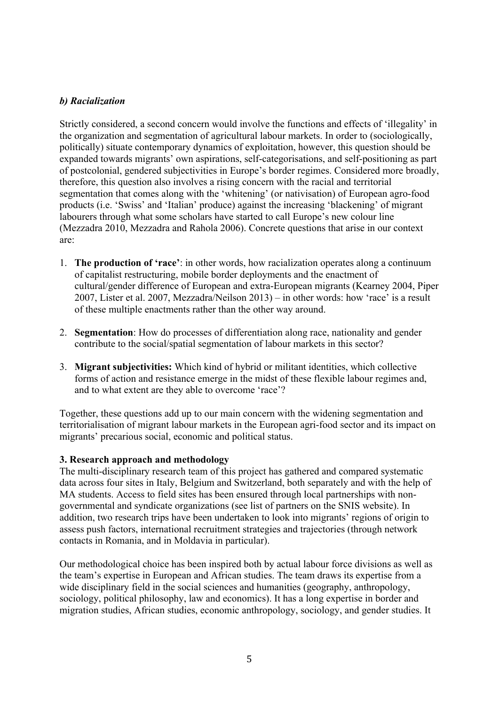# *b) Racialization*

Strictly considered, a second concern would involve the functions and effects of 'illegality' in the organization and segmentation of agricultural labour markets. In order to (sociologically, politically) situate contemporary dynamics of exploitation, however, this question should be expanded towards migrants' own aspirations, self-categorisations, and self-positioning as part of postcolonial, gendered subjectivities in Europe's border regimes. Considered more broadly, therefore, this question also involves a rising concern with the racial and territorial segmentation that comes along with the 'whitening' (or nativisation) of European agro-food products (i.e. 'Swiss' and 'Italian' produce) against the increasing 'blackening' of migrant labourers through what some scholars have started to call Europe's new colour line (Mezzadra 2010, Mezzadra and Rahola 2006). Concrete questions that arise in our context are:

- 1. **The production of 'race'**: in other words, how racialization operates along a continuum of capitalist restructuring, mobile border deployments and the enactment of cultural/gender difference of European and extra-European migrants (Kearney 2004, Piper 2007, Lister et al. 2007, Mezzadra/Neilson 2013) – in other words: how 'race' is a result of these multiple enactments rather than the other way around.
- 2. **Segmentation**: How do processes of differentiation along race, nationality and gender contribute to the social/spatial segmentation of labour markets in this sector?
- 3. **Migrant subjectivities:** Which kind of hybrid or militant identities, which collective forms of action and resistance emerge in the midst of these flexible labour regimes and, and to what extent are they able to overcome 'race'?

Together, these questions add up to our main concern with the widening segmentation and territorialisation of migrant labour markets in the European agri-food sector and its impact on migrants' precarious social, economic and political status.

# **3. Research approach and methodology**

The multi-disciplinary research team of this project has gathered and compared systematic data across four sites in Italy, Belgium and Switzerland, both separately and with the help of MA students. Access to field sites has been ensured through local partnerships with nongovernmental and syndicate organizations (see list of partners on the SNIS website). In addition, two research trips have been undertaken to look into migrants' regions of origin to assess push factors, international recruitment strategies and trajectories (through network contacts in Romania, and in Moldavia in particular).

Our methodological choice has been inspired both by actual labour force divisions as well as the team's expertise in European and African studies. The team draws its expertise from a wide disciplinary field in the social sciences and humanities (geography, anthropology, sociology, political philosophy, law and economics). It has a long expertise in border and migration studies, African studies, economic anthropology, sociology, and gender studies. It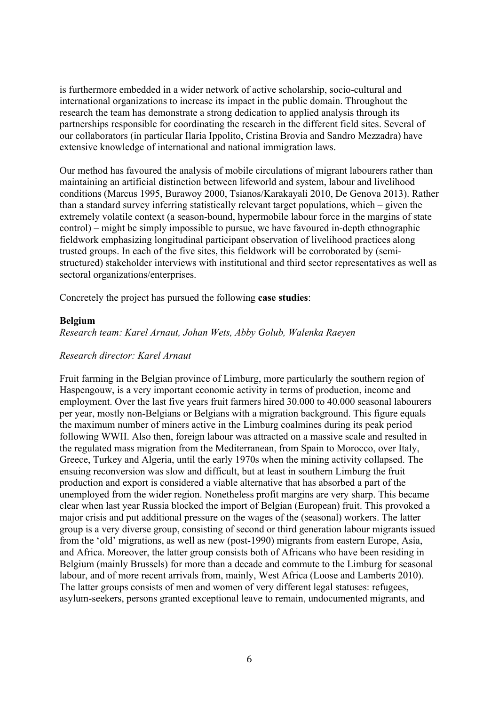is furthermore embedded in a wider network of active scholarship, socio-cultural and international organizations to increase its impact in the public domain. Throughout the research the team has demonstrate a strong dedication to applied analysis through its partnerships responsible for coordinating the research in the different field sites. Several of our collaborators (in particular Ilaria Ippolito, Cristina Brovia and Sandro Mezzadra) have extensive knowledge of international and national immigration laws.

Our method has favoured the analysis of mobile circulations of migrant labourers rather than maintaining an artificial distinction between lifeworld and system, labour and livelihood conditions (Marcus 1995, Burawoy 2000, Tsianos/Karakayali 2010, De Genova 2013). Rather than a standard survey inferring statistically relevant target populations, which – given the extremely volatile context (a season-bound, hypermobile labour force in the margins of state control) – might be simply impossible to pursue, we have favoured in-depth ethnographic fieldwork emphasizing longitudinal participant observation of livelihood practices along trusted groups. In each of the five sites, this fieldwork will be corroborated by (semistructured) stakeholder interviews with institutional and third sector representatives as well as sectoral organizations/enterprises.

Concretely the project has pursued the following **case studies**:

### **Belgium**

*Research team: Karel Arnaut, Johan Wets, Abby Golub, Walenka Raeyen*

## *Research director: Karel Arnaut*

Fruit farming in the Belgian province of Limburg, more particularly the southern region of Haspengouw, is a very important economic activity in terms of production, income and employment. Over the last five years fruit farmers hired 30.000 to 40.000 seasonal labourers per year, mostly non-Belgians or Belgians with a migration background. This figure equals the maximum number of miners active in the Limburg coalmines during its peak period following WWII. Also then, foreign labour was attracted on a massive scale and resulted in the regulated mass migration from the Mediterranean, from Spain to Morocco, over Italy, Greece, Turkey and Algeria, until the early 1970s when the mining activity collapsed. The ensuing reconversion was slow and difficult, but at least in southern Limburg the fruit production and export is considered a viable alternative that has absorbed a part of the unemployed from the wider region. Nonetheless profit margins are very sharp. This became clear when last year Russia blocked the import of Belgian (European) fruit. This provoked a major crisis and put additional pressure on the wages of the (seasonal) workers. The latter group is a very diverse group, consisting of second or third generation labour migrants issued from the 'old' migrations, as well as new (post-1990) migrants from eastern Europe, Asia, and Africa. Moreover, the latter group consists both of Africans who have been residing in Belgium (mainly Brussels) for more than a decade and commute to the Limburg for seasonal labour, and of more recent arrivals from, mainly, West Africa (Loose and Lamberts 2010). The latter groups consists of men and women of very different legal statuses: refugees, asylum-seekers, persons granted exceptional leave to remain, undocumented migrants, and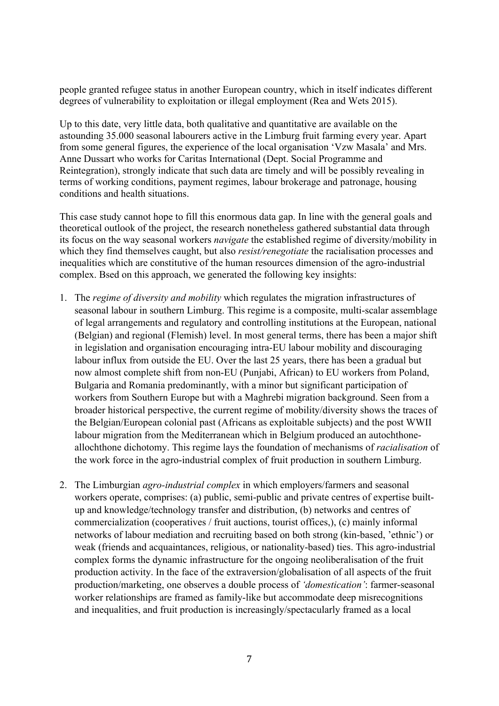people granted refugee status in another European country, which in itself indicates different degrees of vulnerability to exploitation or illegal employment (Rea and Wets 2015).

Up to this date, very little data, both qualitative and quantitative are available on the astounding 35.000 seasonal labourers active in the Limburg fruit farming every year. Apart from some general figures, the experience of the local organisation 'Vzw Masala' and Mrs. Anne Dussart who works for Caritas International (Dept. Social Programme and Reintegration), strongly indicate that such data are timely and will be possibly revealing in terms of working conditions, payment regimes, labour brokerage and patronage, housing conditions and health situations.

This case study cannot hope to fill this enormous data gap. In line with the general goals and theoretical outlook of the project, the research nonetheless gathered substantial data through its focus on the way seasonal workers *navigate* the established regime of diversity/mobility in which they find themselves caught, but also *resist/renegotiate* the racialisation processes and inequalities which are constitutive of the human resources dimension of the agro-industrial complex. Bsed on this approach, we generated the following key insights:

- 1. The *regime of diversity and mobility* which regulates the migration infrastructures of seasonal labour in southern Limburg. This regime is a composite, multi-scalar assemblage of legal arrangements and regulatory and controlling institutions at the European, national (Belgian) and regional (Flemish) level. In most general terms, there has been a major shift in legislation and organisation encouraging intra-EU labour mobility and discouraging labour influx from outside the EU. Over the last 25 years, there has been a gradual but now almost complete shift from non-EU (Punjabi, African) to EU workers from Poland, Bulgaria and Romania predominantly, with a minor but significant participation of workers from Southern Europe but with a Maghrebi migration background. Seen from a broader historical perspective, the current regime of mobility/diversity shows the traces of the Belgian/European colonial past (Africans as exploitable subjects) and the post WWII labour migration from the Mediterranean which in Belgium produced an autochthoneallochthone dichotomy. This regime lays the foundation of mechanisms of *racialisation* of the work force in the agro-industrial complex of fruit production in southern Limburg.
- 2. The Limburgian *agro-industrial complex* in which employers/farmers and seasonal workers operate, comprises: (a) public, semi-public and private centres of expertise builtup and knowledge/technology transfer and distribution, (b) networks and centres of commercialization (cooperatives / fruit auctions, tourist offices,), (c) mainly informal networks of labour mediation and recruiting based on both strong (kin-based, 'ethnic') or weak (friends and acquaintances, religious, or nationality-based) ties. This agro-industrial complex forms the dynamic infrastructure for the ongoing neoliberalisation of the fruit production activity. In the face of the extraversion/globalisation of all aspects of the fruit production/marketing, one observes a double process of *'domestication'*: farmer-seasonal worker relationships are framed as family-like but accommodate deep misrecognitions and inequalities, and fruit production is increasingly/spectacularly framed as a local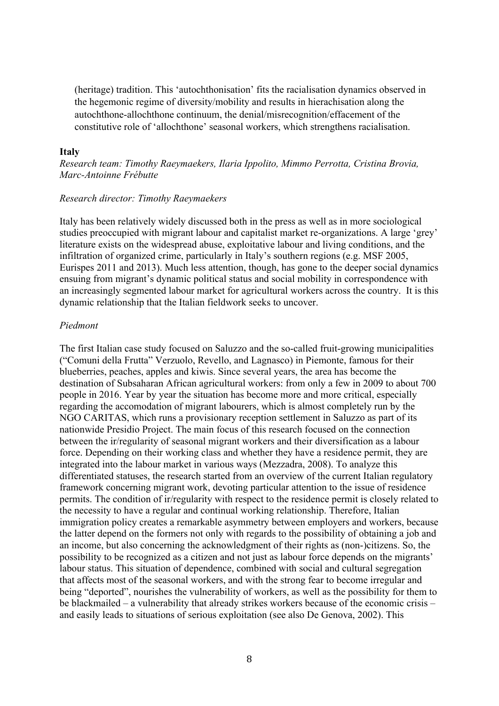(heritage) tradition. This 'autochthonisation' fits the racialisation dynamics observed in the hegemonic regime of diversity/mobility and results in hierachisation along the autochthone-allochthone continuum, the denial/misrecognition/effacement of the constitutive role of 'allochthone' seasonal workers, which strengthens racialisation.

#### **Italy**

*Research team: Timothy Raeymaekers, Ilaria Ippolito, Mimmo Perrotta, Cristina Brovia, Marc-Antoinne Frébutte*

#### *Research director: Timothy Raeymaekers*

Italy has been relatively widely discussed both in the press as well as in more sociological studies preoccupied with migrant labour and capitalist market re-organizations. A large 'grey' literature exists on the widespread abuse, exploitative labour and living conditions, and the infiltration of organized crime, particularly in Italy's southern regions (e.g. MSF 2005, Eurispes 2011 and 2013). Much less attention, though, has gone to the deeper social dynamics ensuing from migrant's dynamic political status and social mobility in correspondence with an increasingly segmented labour market for agricultural workers across the country. It is this dynamic relationship that the Italian fieldwork seeks to uncover.

### *Piedmont*

The first Italian case study focused on Saluzzo and the so-called fruit-growing municipalities ("Comuni della Frutta" Verzuolo, Revello, and Lagnasco) in Piemonte, famous for their blueberries, peaches, apples and kiwis. Since several years, the area has become the destination of Subsaharan African agricultural workers: from only a few in 2009 to about 700 people in 2016. Year by year the situation has become more and more critical, especially regarding the accomodation of migrant labourers, which is almost completely run by the NGO CARITAS, which runs a provisionary reception settlement in Saluzzo as part of its nationwide Presidio Project. The main focus of this research focused on the connection between the ir/regularity of seasonal migrant workers and their diversification as a labour force. Depending on their working class and whether they have a residence permit, they are integrated into the labour market in various ways (Mezzadra, 2008). To analyze this differentiated statuses, the research started from an overview of the current Italian regulatory framework concerning migrant work, devoting particular attention to the issue of residence permits. The condition of ir/regularity with respect to the residence permit is closely related to the necessity to have a regular and continual working relationship. Therefore, Italian immigration policy creates a remarkable asymmetry between employers and workers, because the latter depend on the formers not only with regards to the possibility of obtaining a job and an income, but also concerning the acknowledgment of their rights as (non-)citizens. So, the possibility to be recognized as a citizen and not just as labour force depends on the migrants' labour status. This situation of dependence, combined with social and cultural segregation that affects most of the seasonal workers, and with the strong fear to become irregular and being "deported", nourishes the vulnerability of workers, as well as the possibility for them to be blackmailed – a vulnerability that already strikes workers because of the economic crisis – and easily leads to situations of serious exploitation (see also De Genova, 2002). This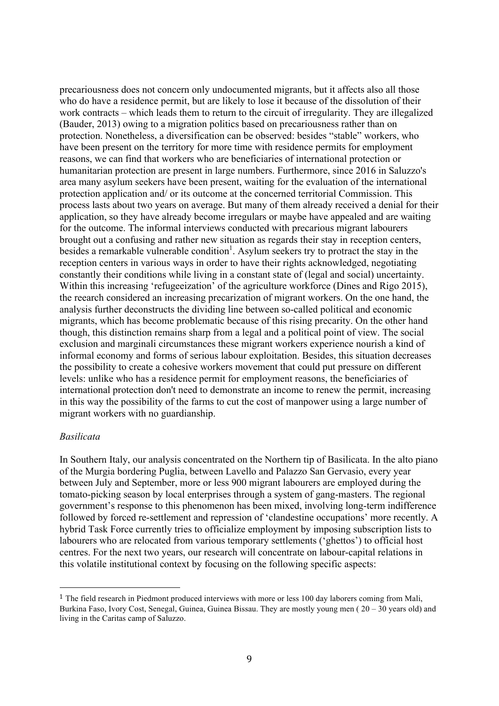precariousness does not concern only undocumented migrants, but it affects also all those who do have a residence permit, but are likely to lose it because of the dissolution of their work contracts – which leads them to return to the circuit of irregularity. They are illegalized (Bauder, 2013) owing to a migration politics based on precariousness rather than on protection. Nonetheless, a diversification can be observed: besides "stable" workers, who have been present on the territory for more time with residence permits for employment reasons, we can find that workers who are beneficiaries of international protection or humanitarian protection are present in large numbers. Furthermore, since 2016 in Saluzzo's area many asylum seekers have been present, waiting for the evaluation of the international protection application and/ or its outcome at the concerned territorial Commission. This process lasts about two years on average. But many of them already received a denial for their application, so they have already become irregulars or maybe have appealed and are waiting for the outcome. The informal interviews conducted with precarious migrant labourers brought out a confusing and rather new situation as regards their stay in reception centers, besides a remarkable vulnerable condition<sup>1</sup>. Asylum seekers try to protract the stay in the reception centers in various ways in order to have their rights acknowledged, negotiating constantly their conditions while living in a constant state of (legal and social) uncertainty. Within this increasing 'refugeeization' of the agriculture workforce (Dines and Rigo 2015), the reearch considered an increasing precarization of migrant workers. On the one hand, the analysis further deconstructs the dividing line between so-called political and economic migrants, which has become problematic because of this rising precarity. On the other hand though, this distinction remains sharp from a legal and a political point of view. The social exclusion and marginali circumstances these migrant workers experience nourish a kind of informal economy and forms of serious labour exploitation. Besides, this situation decreases the possibility to create a cohesive workers movement that could put pressure on different levels: unlike who has a residence permit for employment reasons, the beneficiaries of international protection don't need to demonstrate an income to renew the permit, increasing in this way the possibility of the farms to cut the cost of manpower using a large number of migrant workers with no guardianship.

#### *Basilicata*

 

In Southern Italy, our analysis concentrated on the Northern tip of Basilicata. In the alto piano of the Murgia bordering Puglia, between Lavello and Palazzo San Gervasio, every year between July and September, more or less 900 migrant labourers are employed during the tomato-picking season by local enterprises through a system of gang-masters. The regional government's response to this phenomenon has been mixed, involving long-term indifference followed by forced re-settlement and repression of 'clandestine occupations' more recently. A hybrid Task Force currently tries to officialize employment by imposing subscription lists to labourers who are relocated from various temporary settlements ('ghettos') to official host centres. For the next two years, our research will concentrate on labour-capital relations in this volatile institutional context by focusing on the following specific aspects:

<sup>&</sup>lt;sup>1</sup> The field research in Piedmont produced interviews with more or less 100 day laborers coming from Mali, Burkina Faso, Ivory Cost, Senegal, Guinea, Guinea Bissau. They are mostly young men ( 20 – 30 years old) and living in the Caritas camp of Saluzzo.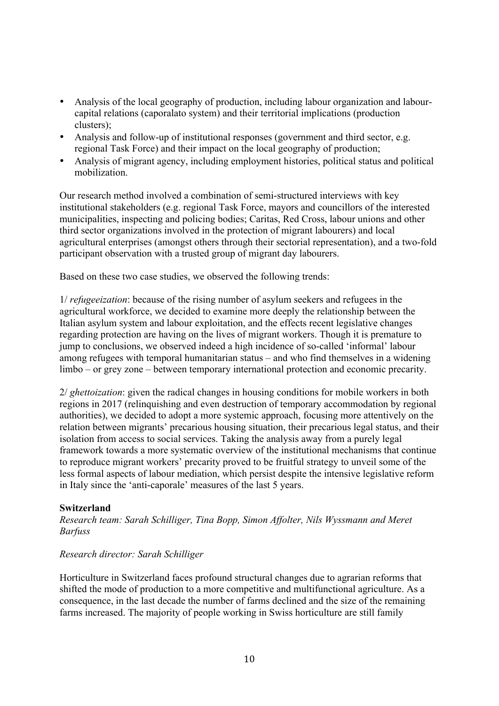- Analysis of the local geography of production, including labour organization and labourcapital relations (caporalato system) and their territorial implications (production clusters);
- Analysis and follow-up of institutional responses (government and third sector, e.g. regional Task Force) and their impact on the local geography of production;
- Analysis of migrant agency, including employment histories, political status and political mobilization.

Our research method involved a combination of semi-structured interviews with key institutional stakeholders (e.g. regional Task Force, mayors and councillors of the interested municipalities, inspecting and policing bodies; Caritas, Red Cross, labour unions and other third sector organizations involved in the protection of migrant labourers) and local agricultural enterprises (amongst others through their sectorial representation), and a two-fold participant observation with a trusted group of migrant day labourers.

Based on these two case studies, we observed the following trends:

1/ *refugeeization*: because of the rising number of asylum seekers and refugees in the agricultural workforce, we decided to examine more deeply the relationship between the Italian asylum system and labour exploitation, and the effects recent legislative changes regarding protection are having on the lives of migrant workers. Though it is premature to jump to conclusions, we observed indeed a high incidence of so-called 'informal' labour among refugees with temporal humanitarian status – and who find themselves in a widening limbo – or grey zone – between temporary international protection and economic precarity.

2/ *ghettoization*: given the radical changes in housing conditions for mobile workers in both regions in 2017 (relinquishing and even destruction of temporary accommodation by regional authorities), we decided to adopt a more systemic approach, focusing more attentively on the relation between migrants' precarious housing situation, their precarious legal status, and their isolation from access to social services. Taking the analysis away from a purely legal framework towards a more systematic overview of the institutional mechanisms that continue to reproduce migrant workers' precarity proved to be fruitful strategy to unveil some of the less formal aspects of labour mediation, which persist despite the intensive legislative reform in Italy since the 'anti-caporale' measures of the last 5 years.

# **Switzerland**

*Research team: Sarah Schilliger, Tina Bopp, Simon Affolter, Nils Wyssmann and Meret Barfuss*

# *Research director: Sarah Schilliger*

Horticulture in Switzerland faces profound structural changes due to agrarian reforms that shifted the mode of production to a more competitive and multifunctional agriculture. As a consequence, in the last decade the number of farms declined and the size of the remaining farms increased. The majority of people working in Swiss horticulture are still family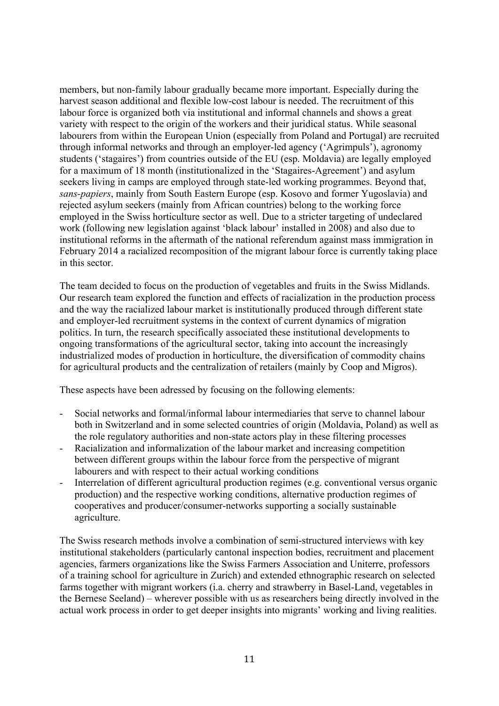members, but non-family labour gradually became more important. Especially during the harvest season additional and flexible low-cost labour is needed. The recruitment of this labour force is organized both via institutional and informal channels and shows a great variety with respect to the origin of the workers and their juridical status. While seasonal labourers from within the European Union (especially from Poland and Portugal) are recruited through informal networks and through an employer-led agency ('Agrimpuls'), agronomy students ('stagaires') from countries outside of the EU (esp. Moldavia) are legally employed for a maximum of 18 month (institutionalized in the 'Stagaires-Agreement') and asylum seekers living in camps are employed through state-led working programmes. Beyond that, *sans-papiers*, mainly from South Eastern Europe (esp. Kosovo and former Yugoslavia) and rejected asylum seekers (mainly from African countries) belong to the working force employed in the Swiss horticulture sector as well. Due to a stricter targeting of undeclared work (following new legislation against 'black labour' installed in 2008) and also due to institutional reforms in the aftermath of the national referendum against mass immigration in February 2014 a racialized recomposition of the migrant labour force is currently taking place in this sector.

The team decided to focus on the production of vegetables and fruits in the Swiss Midlands. Our research team explored the function and effects of racialization in the production process and the way the racialized labour market is institutionally produced through different state and employer-led recruitment systems in the context of current dynamics of migration politics. In turn, the research specifically associated these institutional developments to ongoing transformations of the agricultural sector, taking into account the increasingly industrialized modes of production in horticulture, the diversification of commodity chains for agricultural products and the centralization of retailers (mainly by Coop and Migros).

These aspects have been adressed by focusing on the following elements:

- Social networks and formal/informal labour intermediaries that serve to channel labour both in Switzerland and in some selected countries of origin (Moldavia, Poland) as well as the role regulatory authorities and non-state actors play in these filtering processes
- Racialization and informalization of the labour market and increasing competition between different groups within the labour force from the perspective of migrant labourers and with respect to their actual working conditions
- Interrelation of different agricultural production regimes (e.g. conventional versus organic production) and the respective working conditions, alternative production regimes of cooperatives and producer/consumer-networks supporting a socially sustainable agriculture.

The Swiss research methods involve a combination of semi-structured interviews with key institutional stakeholders (particularly cantonal inspection bodies, recruitment and placement agencies, farmers organizations like the Swiss Farmers Association and Uniterre, professors of a training school for agriculture in Zurich) and extended ethnographic research on selected farms together with migrant workers (i.a. cherry and strawberry in Basel-Land, vegetables in the Bernese Seeland) – wherever possible with us as researchers being directly involved in the actual work process in order to get deeper insights into migrants' working and living realities.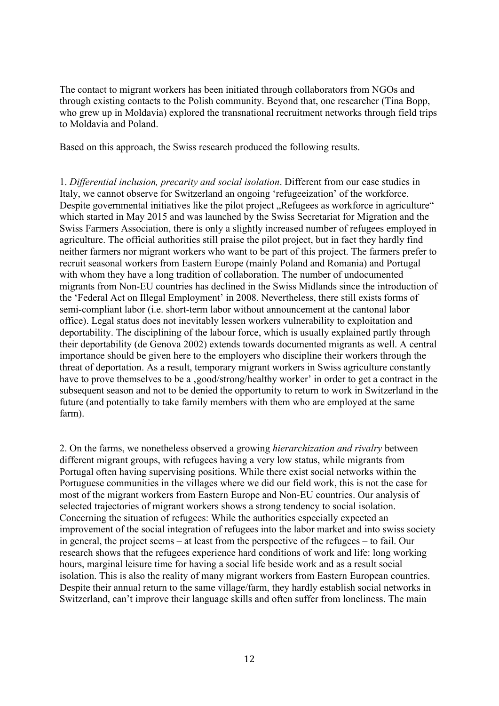The contact to migrant workers has been initiated through collaborators from NGOs and through existing contacts to the Polish community. Beyond that, one researcher (Tina Bopp, who grew up in Moldavia) explored the transnational recruitment networks through field trips to Moldavia and Poland.

Based on this approach, the Swiss research produced the following results.

1. *Differential inclusion, precarity and social isolation*. Different from our case studies in Italy, we cannot observe for Switzerland an ongoing 'refugeeization' of the workforce. Despite governmental initiatives like the pilot project "Refugees as workforce in agriculture" which started in May 2015 and was launched by the Swiss Secretariat for Migration and the Swiss Farmers Association, there is only a slightly increased number of refugees employed in agriculture. The official authorities still praise the pilot project, but in fact they hardly find neither farmers nor migrant workers who want to be part of this project. The farmers prefer to recruit seasonal workers from Eastern Europe (mainly Poland and Romania) and Portugal with whom they have a long tradition of collaboration. The number of undocumented migrants from Non-EU countries has declined in the Swiss Midlands since the introduction of the 'Federal Act on Illegal Employment' in 2008. Nevertheless, there still exists forms of semi-compliant labor (i.e. short-term labor without announcement at the cantonal labor office). Legal status does not inevitably lessen workers vulnerability to exploitation and deportability. The disciplining of the labour force, which is usually explained partly through their deportability (de Genova 2002) extends towards documented migrants as well. A central importance should be given here to the employers who discipline their workers through the threat of deportation. As a result, temporary migrant workers in Swiss agriculture constantly have to prove themselves to be a ,good/strong/healthy worker' in order to get a contract in the subsequent season and not to be denied the opportunity to return to work in Switzerland in the future (and potentially to take family members with them who are employed at the same farm).

2. On the farms, we nonetheless observed a growing *hierarchization and rivalry* between different migrant groups, with refugees having a very low status, while migrants from Portugal often having supervising positions. While there exist social networks within the Portuguese communities in the villages where we did our field work, this is not the case for most of the migrant workers from Eastern Europe and Non-EU countries. Our analysis of selected trajectories of migrant workers shows a strong tendency to social isolation. Concerning the situation of refugees: While the authorities especially expected an improvement of the social integration of refugees into the labor market and into swiss society in general, the project seems – at least from the perspective of the refugees – to fail. Our research shows that the refugees experience hard conditions of work and life: long working hours, marginal leisure time for having a social life beside work and as a result social isolation. This is also the reality of many migrant workers from Eastern European countries. Despite their annual return to the same village/farm, they hardly establish social networks in Switzerland, can't improve their language skills and often suffer from loneliness. The main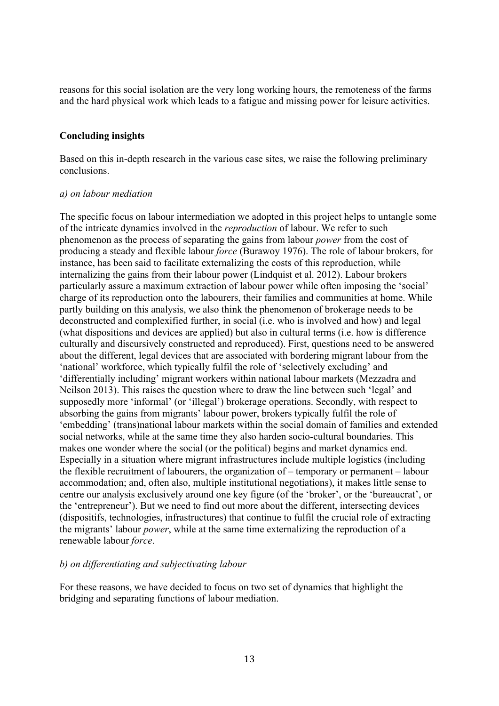reasons for this social isolation are the very long working hours, the remoteness of the farms and the hard physical work which leads to a fatigue and missing power for leisure activities.

### **Concluding insights**

Based on this in-depth research in the various case sites, we raise the following preliminary conclusions.

#### *a) on labour mediation*

The specific focus on labour intermediation we adopted in this project helps to untangle some of the intricate dynamics involved in the *reproduction* of labour. We refer to such phenomenon as the process of separating the gains from labour *power* from the cost of producing a steady and flexible labour *force* (Burawoy 1976). The role of labour brokers, for instance, has been said to facilitate externalizing the costs of this reproduction, while internalizing the gains from their labour power (Lindquist et al. 2012). Labour brokers particularly assure a maximum extraction of labour power while often imposing the 'social' charge of its reproduction onto the labourers, their families and communities at home. While partly building on this analysis, we also think the phenomenon of brokerage needs to be deconstructed and complexified further, in social (i.e. who is involved and how) and legal (what dispositions and devices are applied) but also in cultural terms (i.e. how is difference culturally and discursively constructed and reproduced). First, questions need to be answered about the different, legal devices that are associated with bordering migrant labour from the 'national' workforce, which typically fulfil the role of 'selectively excluding' and 'differentially including' migrant workers within national labour markets (Mezzadra and Neilson 2013). This raises the question where to draw the line between such 'legal' and supposedly more 'informal' (or 'illegal') brokerage operations. Secondly, with respect to absorbing the gains from migrants' labour power, brokers typically fulfil the role of 'embedding' (trans)national labour markets within the social domain of families and extended social networks, while at the same time they also harden socio-cultural boundaries. This makes one wonder where the social (or the political) begins and market dynamics end. Especially in a situation where migrant infrastructures include multiple logistics (including the flexible recruitment of labourers, the organization of – temporary or permanent – labour accommodation; and, often also, multiple institutional negotiations), it makes little sense to centre our analysis exclusively around one key figure (of the 'broker', or the 'bureaucrat', or the 'entrepreneur'). But we need to find out more about the different, intersecting devices (dispositifs, technologies, infrastructures) that continue to fulfil the crucial role of extracting the migrants' labour *power*, while at the same time externalizing the reproduction of a renewable labour *force*.

### *b) on differentiating and subjectivating labour*

For these reasons, we have decided to focus on two set of dynamics that highlight the bridging and separating functions of labour mediation.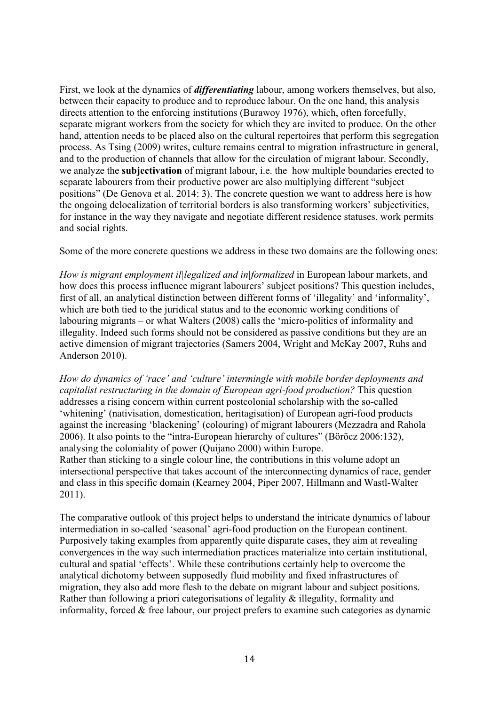First, we look at the dynamics of *differentiating* labour, among workers themselves, but also, between their capacity to produce and to reproduce labour. On the one hand, this analysis directs attention to the enforcing institutions (Burawoy 1976), which, often forcefully, separate migrant workers from the society for which they are invited to produce. On the other hand, attention needs to be placed also on the cultural repertoires that perform this segregation process. As Tsing (2009) writes, culture remains central to migration infrastructure in general, and to the production of channels that allow for the circulation of migrant labour. Secondly, we analyze the **subjectivation** of migrant labour, i.e. the how multiple boundaries erected to separate labourers from their productive power are also multiplying different "subject positions" (De Genova et al. 2014: 3). The concrete question we want to address here is how the ongoing delocalization of territorial borders is also transforming workers' subjectivities, for instance in the way they navigate and negotiate different residence statuses, work permits and social rights.

Some of the more concrete questions we address in these two domains are the following ones:

*How is migrant employment il|legalized and in|formalized* in European labour markets, and how does this process influence migrant labourers' subject positions? This question includes, first of all, an analytical distinction between different forms of 'illegality' and 'informality', which are both tied to the juridical status and to the economic working conditions of labouring migrants – or what Walters (2008) calls the 'micro-politics of informality and illegality. Indeed such forms should not be considered as passive conditions but they are an active dimension of migrant trajectories (Samers 2004, Wright and McKay 2007, Ruhs and Anderson 2010).

*How do dynamics of 'race' and 'culture' intermingle with mobile border deployments and capitalist restructuring in the domain of European agri-food production?* This question addresses a rising concern within current postcolonial scholarship with the so-called 'whitening' (nativisation, domestication, heritagisation) of European agri-food products against the increasing 'blackening' (colouring) of migrant labourers (Mezzadra and Rahola 2006). It also points to the "intra-European hierarchy of cultures" (Böröcz 2006:132), analysing the coloniality of power (Quijano 2000) within Europe.

Rather than sticking to a single colour line, the contributions in this volume adopt an intersectional perspective that takes account of the interconnecting dynamics of race, gender and class in this specific domain (Kearney 2004, Piper 2007, Hillmann and Wastl-Walter 2011).

The comparative outlook of this project helps to understand the intricate dynamics of labour intermediation in so-called 'seasonal' agri-food production on the European continent. Purposively taking examples from apparently quite disparate cases, they aim at revealing convergences in the way such intermediation practices materialize into certain institutional, cultural and spatial 'effects'. While these contributions certainly help to overcome the analytical dichotomy between supposedly fluid mobility and fixed infrastructures of migration, they also add more flesh to the debate on migrant labour and subject positions. Rather than following a priori categorisations of legality & illegality, formality and informality, forced & free labour, our project prefers to examine such categories as dynamic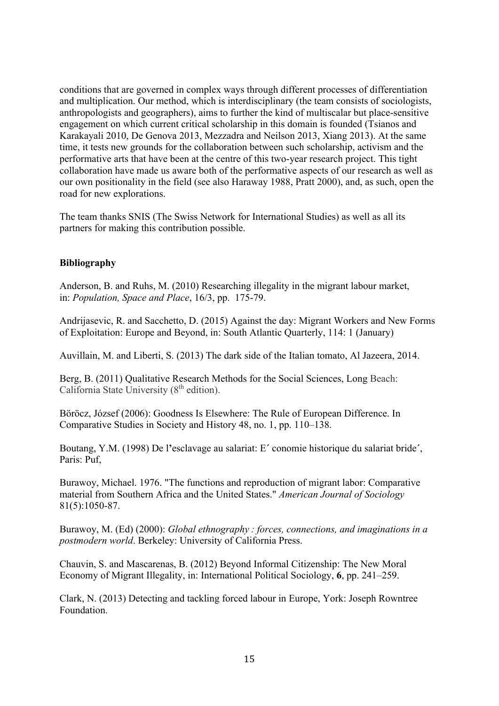conditions that are governed in complex ways through different processes of differentiation and multiplication. Our method, which is interdisciplinary (the team consists of sociologists, anthropologists and geographers), aims to further the kind of multiscalar but place-sensitive engagement on which current critical scholarship in this domain is founded (Tsianos and Karakayali 2010, De Genova 2013, Mezzadra and Neilson 2013, Xiang 2013). At the same time, it tests new grounds for the collaboration between such scholarship, activism and the performative arts that have been at the centre of this two-year research project. This tight collaboration have made us aware both of the performative aspects of our research as well as our own positionality in the field (see also Haraway 1988, Pratt 2000), and, as such, open the road for new explorations.

The team thanks SNIS (The Swiss Network for International Studies) as well as all its partners for making this contribution possible.

### **Bibliography**

Anderson, B. and Ruhs, M. (2010) Researching illegality in the migrant labour market, in: *Population, Space and Place*, 16/3, pp. 175-79.

Andrijasevic, R. and Sacchetto, D. (2015) Against the day: Migrant Workers and New Forms of Exploitation: Europe and Beyond, in: South Atlantic Quarterly, 114: 1 (January)

Auvillain, M. and Liberti, S. (2013) The dark side of the Italian tomato, Al Jazeera, 2014.

Berg, B. (2011) Qualitative Research Methods for the Social Sciences, Long Beach: California State University  $(8<sup>th</sup>$  edition).

Böröcz, József (2006): Goodness Is Elsewhere: The Rule of European Difference. In Comparative Studies in Society and History 48, no. 1, pp. 110–138.

Boutang, Y.M. (1998) De l**'**esclavage au salariat: E**´** conomie historique du salariat bride**´**, Paris: Puf,

Burawoy, Michael. 1976. "The functions and reproduction of migrant labor: Comparative material from Southern Africa and the United States." *American Journal of Sociology* 81(5):1050-87.

Burawoy, M. (Ed) (2000): *Global ethnography : forces, connections, and imaginations in a postmodern world*. Berkeley: University of California Press.

Chauvin, S. and Mascarenas, B. (2012) Beyond Informal Citizenship: The New Moral Economy of Migrant Illegality, in: International Political Sociology, **6**, pp. 241–259.

Clark, N. (2013) Detecting and tackling forced labour in Europe, York: Joseph Rowntree Foundation.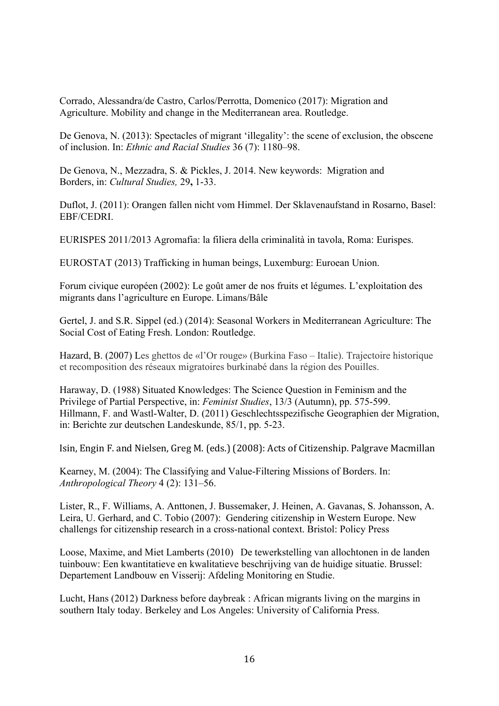Corrado, Alessandra/de Castro, Carlos/Perrotta, Domenico (2017): Migration and Agriculture. Mobility and change in the Mediterranean area. Routledge.

De Genova, N. (2013): Spectacles of migrant 'illegality': the scene of exclusion, the obscene of inclusion. In: *Ethnic and Racial Studies* 36 (7): 1180–98.

De Genova, N., Mezzadra, S. & Pickles, J. 2014. New keywords: Migration and Borders, in: *Cultural Studies,* 29**,** 1-33.

Duflot, J. (2011): Orangen fallen nicht vom Himmel. Der Sklavenaufstand in Rosarno, Basel: EBF/CEDRI.

EURISPES 2011/2013 Agromafia: la filiera della criminalità in tavola, Roma: Eurispes.

EUROSTAT (2013) Trafficking in human beings, Luxemburg: Euroean Union.

Forum civique européen (2002): Le goût amer de nos fruits et légumes. L'exploitation des migrants dans l'agriculture en Europe. Limans/Bâle

Gertel, J. and S.R. Sippel (ed.) (2014): Seasonal Workers in Mediterranean Agriculture: The Social Cost of Eating Fresh. London: Routledge.

Hazard, B. (2007) Les ghettos de «l'Or rouge» (Burkina Faso – Italie). Trajectoire historique et recomposition des réseaux migratoires burkinabé dans la région des Pouilles.

Haraway, D. (1988) Situated Knowledges: The Science Question in Feminism and the Privilege of Partial Perspective, in: *Feminist Studies*, 13/3 (Autumn), pp. 575-599. Hillmann, F. and Wastl-Walter, D. (2011) Geschlechtsspezifische Geographien der Migration, in: Berichte zur deutschen Landeskunde, 85/1, pp. 5-23.

Isin, Engin F. and Nielsen, Greg M. (eds.) (2008): Acts of Citizenship. Palgrave Macmillan

Kearney, M. (2004): The Classifying and Value-Filtering Missions of Borders. In: *Anthropological Theory* 4 (2): 131–56.

Lister, R., F. Williams, A. Anttonen, J. Bussemaker, J. Heinen, A. Gavanas, S. Johansson, A. Leira, U. Gerhard, and C. Tobio (2007): Gendering citizenship in Western Europe. New challengs for citizenship research in a cross-national context. Bristol: Policy Press

Loose, Maxime, and Miet Lamberts (2010) De tewerkstelling van allochtonen in de landen tuinbouw: Een kwantitatieve en kwalitatieve beschrijving van de huidige situatie. Brussel: Departement Landbouw en Visserij: Afdeling Monitoring en Studie.

Lucht, Hans (2012) Darkness before daybreak : African migrants living on the margins in southern Italy today. Berkeley and Los Angeles: University of California Press.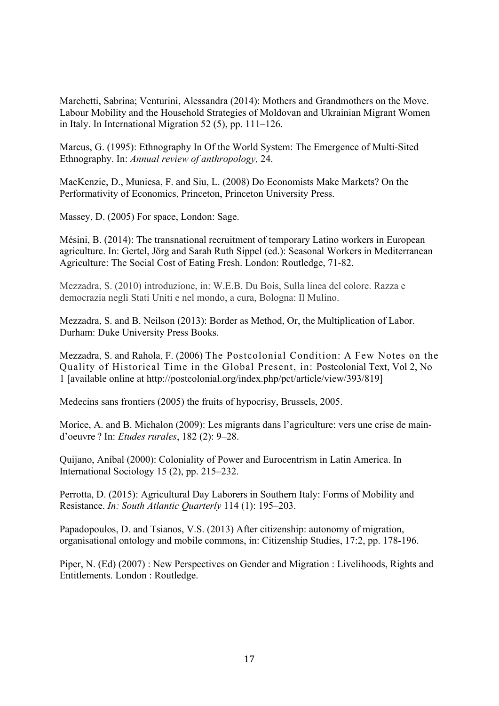Marchetti, Sabrina; Venturini, Alessandra (2014): Mothers and Grandmothers on the Move. Labour Mobility and the Household Strategies of Moldovan and Ukrainian Migrant Women in Italy. In International Migration 52 (5), pp. 111–126.

Marcus, G. (1995): Ethnography In Of the World System: The Emergence of Multi-Sited Ethnography. In: *Annual review of anthropology,* 24.

MacKenzie, D., Muniesa, F. and Siu, L. (2008) Do Economists Make Markets? On the Performativity of Economics, Princeton, Princeton University Press.

Massey, D. (2005) For space, London: Sage.

Mésini, B. (2014): The transnational recruitment of temporary Latino workers in European agriculture. In: Gertel, Jörg and Sarah Ruth Sippel (ed.): Seasonal Workers in Mediterranean Agriculture: The Social Cost of Eating Fresh. London: Routledge, 71-82.

Mezzadra, S. (2010) introduzione, in: W.E.B. Du Bois, Sulla linea del colore. Razza e democrazia negli Stati Uniti e nel mondo, a cura, Bologna: Il Mulino.

Mezzadra, S. and B. Neilson (2013): Border as Method, Or, the Multiplication of Labor. Durham: Duke University Press Books.

Mezzadra, S. and Rahola, F. (2006) The Postcolonial Condition: A Few Notes on the Quality of Historical Time in the Global Present, in: Postcolonial Text, Vol 2, No 1 [available online at http://postcolonial.org/index.php/pct/article/view/393/819]

Medecins sans frontiers (2005) the fruits of hypocrisy, Brussels, 2005.

Morice, A. and B. Michalon (2009): Les migrants dans l'agriculture: vers une crise de maind'oeuvre ? In: *Etudes rurales*, 182 (2): 9–28.

Quijano, Aníbal (2000): Coloniality of Power and Eurocentrism in Latin America. In International Sociology 15 (2), pp. 215–232.

Perrotta, D. (2015): Agricultural Day Laborers in Southern Italy: Forms of Mobility and Resistance. *In: South Atlantic Quarterly* 114 (1): 195–203.

Papadopoulos, D. and Tsianos, V.S. (2013) After citizenship: autonomy of migration, organisational ontology and mobile commons, in: Citizenship Studies, 17:2, pp. 178-196.

Piper, N. (Ed) (2007) : New Perspectives on Gender and Migration : Livelihoods, Rights and Entitlements. London : Routledge.